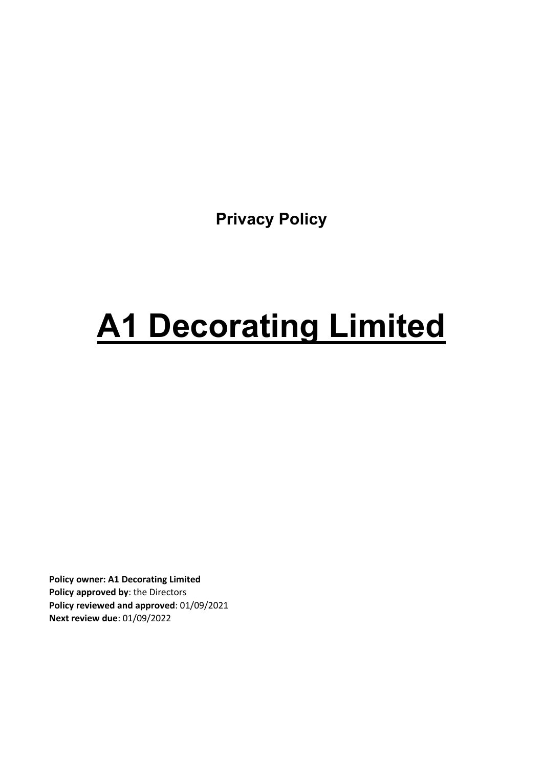**Privacy Policy**

# **A1 Decorating Limited**

**Policy owner: A1 Decorating Limited Policy approved by**: the Directors **Policy reviewed and approved**: 01/09/2021 **Next review due**: 01/09/2022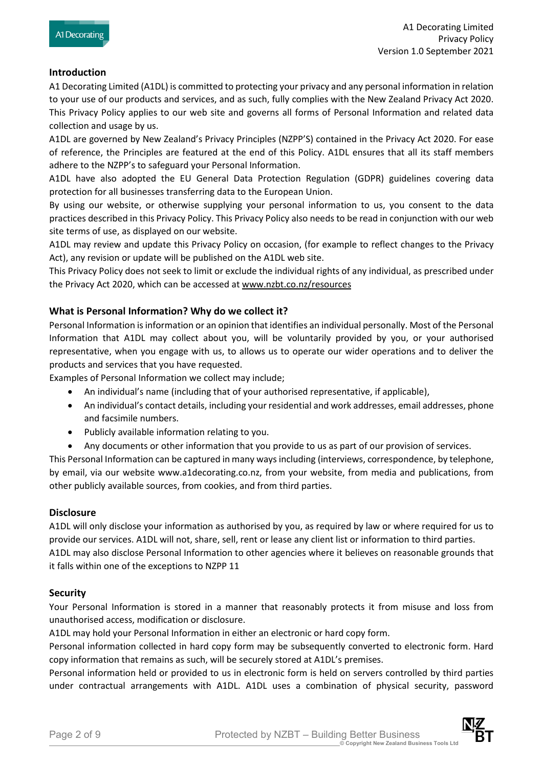#### **Introduction**

A1 Decorating Limited (A1DL) is committed to protecting your privacy and any personal information in relation to your use of our products and services, and as such, fully complies with the New Zealand Privacy Act 2020. This Privacy Policy applies to our web site and governs all forms of Personal Information and related data collection and usage by us.

A1DL are governed by New Zealand's Privacy Principles (NZPP'S) contained in the Privacy Act 2020. For ease of reference, the Principles are featured at the end of this Policy. A1DL ensures that all its staff members adhere to the NZPP's to safeguard your Personal Information.

A1DL have also adopted the EU General Data Protection Regulation (GDPR) guidelines covering data protection for all businesses transferring data to the European Union.

By using our website, or otherwise supplying your personal information to us, you consent to the data practices described in this Privacy Policy. This Privacy Policy also needs to be read in conjunction with our web site terms of use, as displayed on our website.

A1DL may review and update this Privacy Policy on occasion, (for example to reflect changes to the Privacy Act), any revision or update will be published on the A1DL web site.

This Privacy Policy does not seek to limit or exclude the individual rights of any individual, as prescribed under the Privacy Act 2020, which can be accessed at www.nzbt.co.nz/resources

#### **What is Personal Information? Why do we collect it?**

Personal Information is information or an opinion that identifies an individual personally. Most of the Personal Information that A1DL may collect about you, will be voluntarily provided by you, or your authorised representative, when you engage with us, to allows us to operate our wider operations and to deliver the products and services that you have requested.

Examples of Personal Information we collect may include;

- An individual's name (including that of your authorised representative, if applicable),
- An individual's contact details, including your residential and work addresses, email addresses, phone and facsimile numbers.
- Publicly available information relating to you.
- Any documents or other information that you provide to us as part of our provision of services.

This Personal Information can be captured in many ways including (interviews, correspondence, by telephone, by email, via our website www.a1decorating.co.nz, from your website, from media and publications, from other publicly available sources, from cookies, and from third parties.

#### **Disclosure**

A1DL will only disclose your information as authorised by you, as required by law or where required for us to provide our services. A1DL will not, share, sell, rent or lease any client list or information to third parties. A1DL may also disclose Personal Information to other agencies where it believes on reasonable grounds that it falls within one of the exceptions to NZPP 11

#### **Security**

Your Personal Information is stored in a manner that reasonably protects it from misuse and loss from unauthorised access, modification or disclosure.

A1DL may hold your Personal Information in either an electronic or hard copy form.

Personal information collected in hard copy form may be subsequently converted to electronic form. Hard copy information that remains as such, will be securely stored at A1DL's premises.

Personal information held or provided to us in electronic form is held on servers controlled by third parties under contractual arrangements with A1DL. A1DL uses a combination of physical security, password



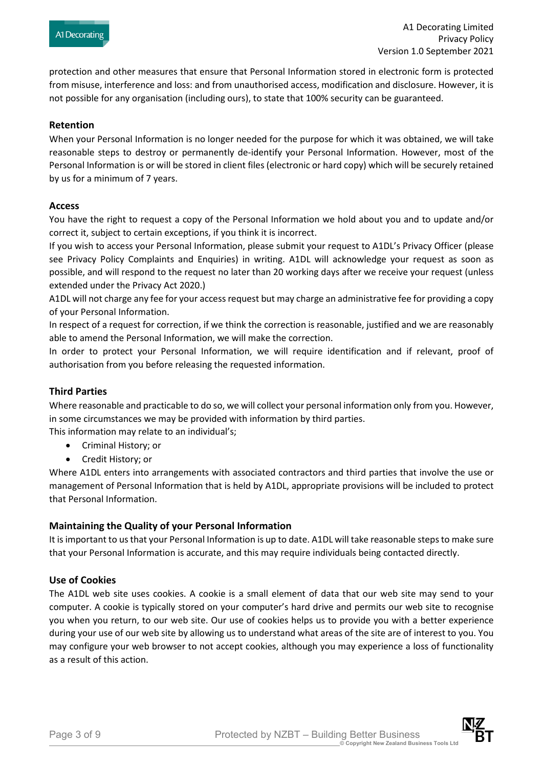protection and other measures that ensure that Personal Information stored in electronic form is protected from misuse, interference and loss: and from unauthorised access, modification and disclosure. However, it is not possible for any organisation (including ours), to state that 100% security can be guaranteed.

#### **Retention**

When your Personal Information is no longer needed for the purpose for which it was obtained, we will take reasonable steps to destroy or permanently de-identify your Personal Information. However, most of the Personal Information is or will be stored in client files (electronic or hard copy) which will be securely retained by us for a minimum of 7 years.

#### **Access**

You have the right to request a copy of the Personal Information we hold about you and to update and/or correct it, subject to certain exceptions, if you think it is incorrect.

If you wish to access your Personal Information, please submit your request to A1DL's Privacy Officer (please see Privacy Policy Complaints and Enquiries) in writing. A1DL will acknowledge your request as soon as possible, and will respond to the request no later than 20 working days after we receive your request (unless extended under the Privacy Act 2020.)

A1DL will not charge any fee for your access request but may charge an administrative fee for providing a copy of your Personal Information.

In respect of a request for correction, if we think the correction is reasonable, justified and we are reasonably able to amend the Personal Information, we will make the correction.

In order to protect your Personal Information, we will require identification and if relevant, proof of authorisation from you before releasing the requested information.

## **Third Parties**

Where reasonable and practicable to do so, we will collect your personal information only from you. However, in some circumstances we may be provided with information by third parties.

This information may relate to an individual's;

- Criminal History; or
- Credit History; or

Where A1DL enters into arrangements with associated contractors and third parties that involve the use or management of Personal Information that is held by A1DL, appropriate provisions will be included to protect that Personal Information.

## **Maintaining the Quality of your Personal Information**

It is important to us that your Personal Information is up to date. A1DL will take reasonable steps to make sure that your Personal Information is accurate, and this may require individuals being contacted directly.

#### **Use of Cookies**

The A1DL web site uses cookies. A cookie is a small element of data that our web site may send to your computer. A cookie is typically stored on your computer's hard drive and permits our web site to recognise you when you return, to our web site. Our use of cookies helps us to provide you with a better experience during your use of our web site by allowing us to understand what areas of the site are of interest to you. You may configure your web browser to not accept cookies, although you may experience a loss of functionality as a result of this action.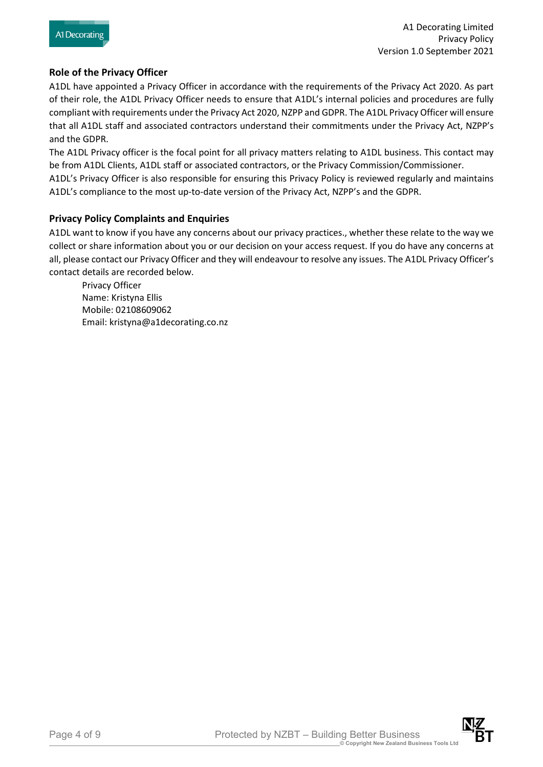## **Role of the Privacy Officer**

A1DL have appointed a Privacy Officer in accordance with the requirements of the Privacy Act 2020. As part of their role, the A1DL Privacy Officer needs to ensure that A1DL's internal policies and procedures are fully compliant with requirements under the Privacy Act 2020, NZPP and GDPR. The A1DL Privacy Officer will ensure that all A1DL staff and associated contractors understand their commitments under the Privacy Act, NZPP's and the GDPR.

The A1DL Privacy officer is the focal point for all privacy matters relating to A1DL business. This contact may be from A1DL Clients, A1DL staff or associated contractors, or the Privacy Commission/Commissioner.

A1DL's Privacy Officer is also responsible for ensuring this Privacy Policy is reviewed regularly and maintains A1DL's compliance to the most up-to-date version of the Privacy Act, NZPP's and the GDPR.

## **Privacy Policy Complaints and Enquiries**

A1DL want to know if you have any concerns about our privacy practices., whether these relate to the way we collect or share information about you or our decision on your access request. If you do have any concerns at all, please contact our Privacy Officer and they will endeavour to resolve any issues. The A1DL Privacy Officer's contact details are recorded below.

Privacy Officer Name: Kristyna Ellis Mobile: 02108609062 Email: kristyna@a1decorating.co.nz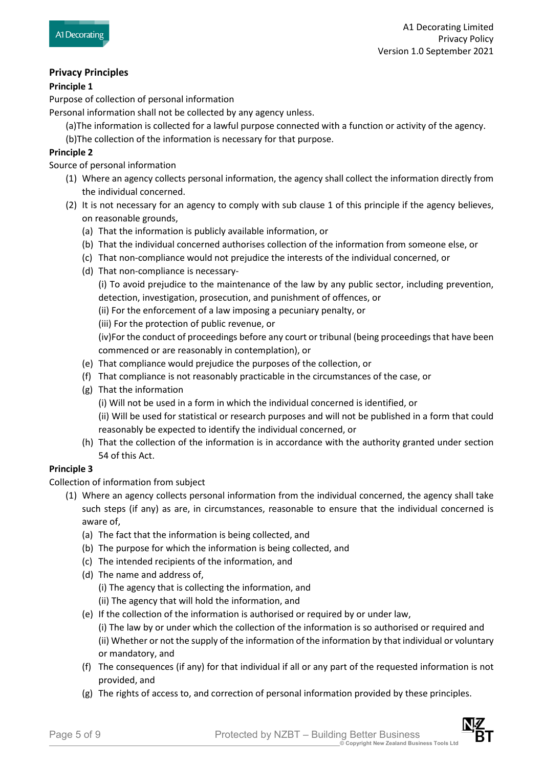# **Privacy Principles**

## **Principle 1**

Purpose of collection of personal information

Personal information shall not be collected by any agency unless.

- (a)The information is collected for a lawful purpose connected with a function or activity of the agency.
- (b)The collection of the information is necessary for that purpose.

## **Principle 2**

Source of personal information

- (1) Where an agency collects personal information, the agency shall collect the information directly from the individual concerned.
- (2) It is not necessary for an agency to comply with sub clause 1 of this principle if the agency believes, on reasonable grounds,
	- (a) That the information is publicly available information, or
	- (b) That the individual concerned authorises collection of the information from someone else, or
	- (c) That non-compliance would not prejudice the interests of the individual concerned, or
	- (d) That non-compliance is necessary-

(i) To avoid prejudice to the maintenance of the law by any public sector, including prevention, detection, investigation, prosecution, and punishment of offences, or

(ii) For the enforcement of a law imposing a pecuniary penalty, or

(iii) For the protection of public revenue, or

(iv)For the conduct of proceedings before any court or tribunal (being proceedings that have been commenced or are reasonably in contemplation), or

- (e) That compliance would prejudice the purposes of the collection, or
- (f) That compliance is not reasonably practicable in the circumstances of the case, or
- (g) That the information

(i) Will not be used in a form in which the individual concerned is identified, or

(ii) Will be used for statistical or research purposes and will not be published in a form that could reasonably be expected to identify the individual concerned, or

(h) That the collection of the information is in accordance with the authority granted under section 54 of this Act.

## **Principle 3**

Collection of information from subject

- (1) Where an agency collects personal information from the individual concerned, the agency shall take such steps (if any) as are, in circumstances, reasonable to ensure that the individual concerned is aware of,
	- (a) The fact that the information is being collected, and
	- (b) The purpose for which the information is being collected, and
	- (c) The intended recipients of the information, and
	- (d) The name and address of,

(i) The agency that is collecting the information, and

(ii) The agency that will hold the information, and

(e) If the collection of the information is authorised or required by or under law, (i) The law by or under which the collection of the information is so authorised or required and

(ii) Whether or not the supply of the information of the information by that individual or voluntary or mandatory, and

- (f) The consequences (if any) for that individual if all or any part of the requested information is not provided, and
- (g) The rights of access to, and correction of personal information provided by these principles.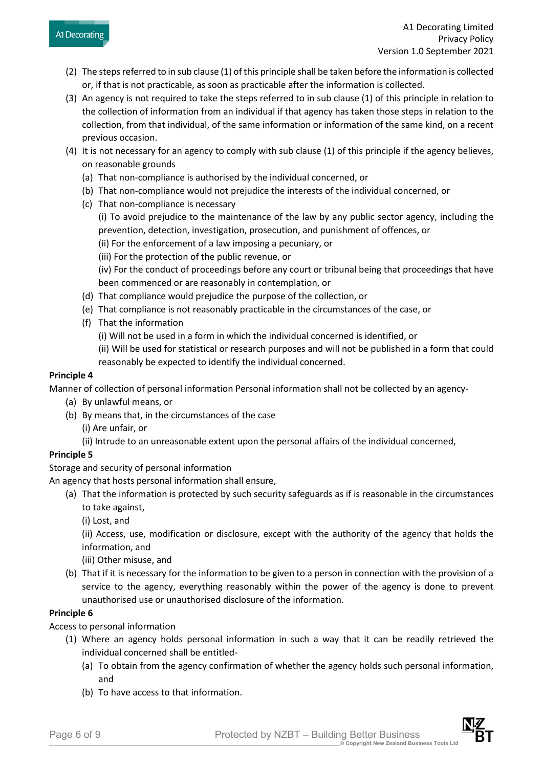- (2) The steps referred to in sub clause (1) of this principle shall be taken before the information is collected or, if that is not practicable, as soon as practicable after the information is collected.
- (3) An agency is not required to take the steps referred to in sub clause (1) of this principle in relation to the collection of information from an individual if that agency has taken those steps in relation to the collection, from that individual, of the same information or information of the same kind, on a recent previous occasion.
- (4) It is not necessary for an agency to comply with sub clause (1) of this principle if the agency believes, on reasonable grounds
	- (a) That non-compliance is authorised by the individual concerned, or
	- (b) That non-compliance would not prejudice the interests of the individual concerned, or
	- (c) That non-compliance is necessary (i) To avoid prejudice to the maintenance of the law by any public sector agency, including the prevention, detection, investigation, prosecution, and punishment of offences, or
		- (ii) For the enforcement of a law imposing a pecuniary, or
		- (iii) For the protection of the public revenue, or

(iv) For the conduct of proceedings before any court or tribunal being that proceedings that have been commenced or are reasonably in contemplation, or

- (d) That compliance would prejudice the purpose of the collection, or
- (e) That compliance is not reasonably practicable in the circumstances of the case, or
- (f) That the information
	- (i) Will not be used in a form in which the individual concerned is identified, or
	- (ii) Will be used for statistical or research purposes and will not be published in a form that could reasonably be expected to identify the individual concerned.

## **Principle 4**

Manner of collection of personal information Personal information shall not be collected by an agency-

- (a) By unlawful means, or
- (b) By means that, in the circumstances of the case
	- (i) Are unfair, or
	- (ii) Intrude to an unreasonable extent upon the personal affairs of the individual concerned,

# **Principle 5**

Storage and security of personal information

An agency that hosts personal information shall ensure,

- (a) That the information is protected by such security safeguards as if is reasonable in the circumstances to take against,
	- (i) Lost, and

(ii) Access, use, modification or disclosure, except with the authority of the agency that holds the information, and

(iii) Other misuse, and

(b) That if it is necessary for the information to be given to a person in connection with the provision of a service to the agency, everything reasonably within the power of the agency is done to prevent unauthorised use or unauthorised disclosure of the information.

## **Principle 6**

Access to personal information

- (1) Where an agency holds personal information in such a way that it can be readily retrieved the individual concerned shall be entitled-
	- (a) To obtain from the agency confirmation of whether the agency holds such personal information, and
	- (b) To have access to that information.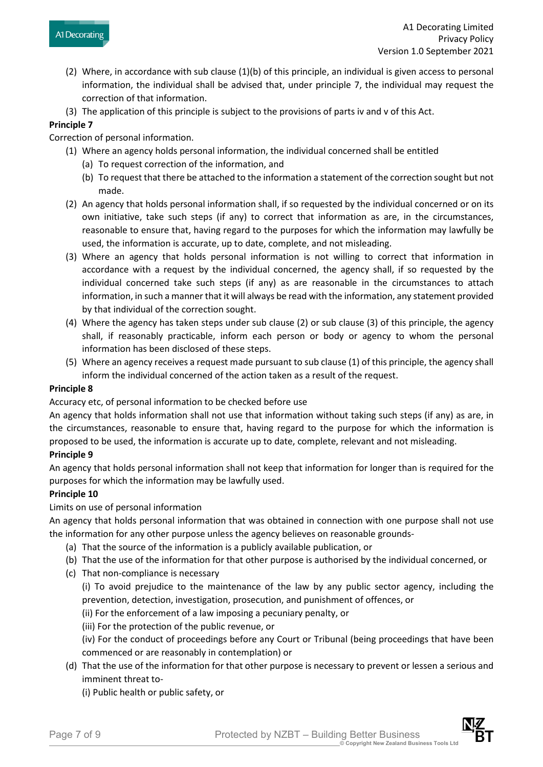- (2) Where, in accordance with sub clause (1)(b) of this principle, an individual is given access to personal information, the individual shall be advised that, under principle 7, the individual may request the correction of that information.
- (3) The application of this principle is subject to the provisions of parts iv and v of this Act.

#### **Principle 7**

Correction of personal information.

- (1) Where an agency holds personal information, the individual concerned shall be entitled
	- (a) To request correction of the information, and
	- (b) To request that there be attached to the information a statement of the correction sought but not made.
- (2) An agency that holds personal information shall, if so requested by the individual concerned or on its own initiative, take such steps (if any) to correct that information as are, in the circumstances, reasonable to ensure that, having regard to the purposes for which the information may lawfully be used, the information is accurate, up to date, complete, and not misleading.
- (3) Where an agency that holds personal information is not willing to correct that information in accordance with a request by the individual concerned, the agency shall, if so requested by the individual concerned take such steps (if any) as are reasonable in the circumstances to attach information, in such a manner that it will always be read with the information, any statement provided by that individual of the correction sought.
- (4) Where the agency has taken steps under sub clause (2) or sub clause (3) of this principle, the agency shall, if reasonably practicable, inform each person or body or agency to whom the personal information has been disclosed of these steps.
- (5) Where an agency receives a request made pursuant to sub clause (1) of this principle, the agency shall inform the individual concerned of the action taken as a result of the request.

#### **Principle 8**

Accuracy etc, of personal information to be checked before use

An agency that holds information shall not use that information without taking such steps (if any) as are, in the circumstances, reasonable to ensure that, having regard to the purpose for which the information is proposed to be used, the information is accurate up to date, complete, relevant and not misleading.

## **Principle 9**

An agency that holds personal information shall not keep that information for longer than is required for the purposes for which the information may be lawfully used.

## **Principle 10**

Limits on use of personal information

An agency that holds personal information that was obtained in connection with one purpose shall not use the information for any other purpose unless the agency believes on reasonable grounds-

- (a) That the source of the information is a publicly available publication, or
- (b) That the use of the information for that other purpose is authorised by the individual concerned, or
- (c) That non-compliance is necessary

(i) To avoid prejudice to the maintenance of the law by any public sector agency, including the prevention, detection, investigation, prosecution, and punishment of offences, or

(ii) For the enforcement of a law imposing a pecuniary penalty, or

(iii) For the protection of the public revenue, or

(iv) For the conduct of proceedings before any Court or Tribunal (being proceedings that have been commenced or are reasonably in contemplation) or

(d) That the use of the information for that other purpose is necessary to prevent or lessen a serious and imminent threat to-

(i) Public health or public safety, or

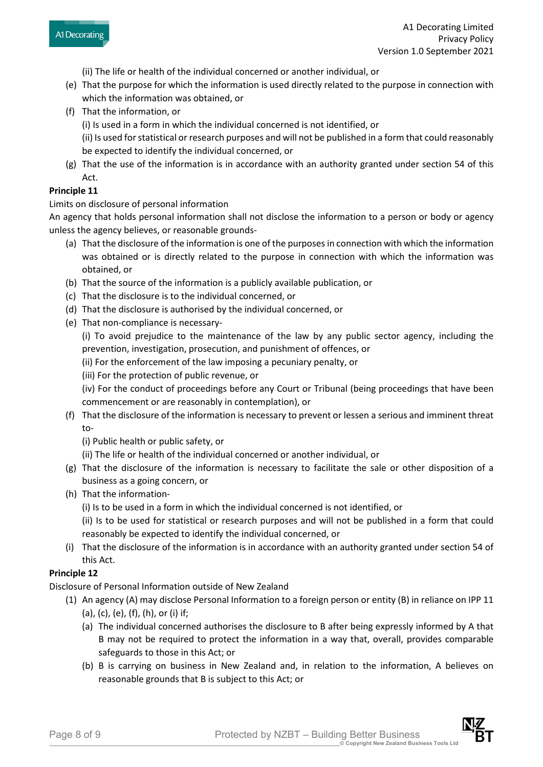- (ii) The life or health of the individual concerned or another individual, or
- (e) That the purpose for which the information is used directly related to the purpose in connection with which the information was obtained, or
- (f) That the information, or
	- (i) Is used in a form in which the individual concerned is not identified, or
	- (ii) Is used for statistical or research purposes and will not be published in a form that could reasonably be expected to identify the individual concerned, or
- (g) That the use of the information is in accordance with an authority granted under section 54 of this Act.

## **Principle 11**

Limits on disclosure of personal information

An agency that holds personal information shall not disclose the information to a person or body or agency unless the agency believes, or reasonable grounds-

- (a) That the disclosure of the information is one of the purposes in connection with which the information was obtained or is directly related to the purpose in connection with which the information was obtained, or
- (b) That the source of the information is a publicly available publication, or
- (c) That the disclosure is to the individual concerned, or
- (d) That the disclosure is authorised by the individual concerned, or
- (e) That non-compliance is necessary-

(i) To avoid prejudice to the maintenance of the law by any public sector agency, including the prevention, investigation, prosecution, and punishment of offences, or

(ii) For the enforcement of the law imposing a pecuniary penalty, or

(iii) For the protection of public revenue, or

(iv) For the conduct of proceedings before any Court or Tribunal (being proceedings that have been commencement or are reasonably in contemplation), or

- (f) That the disclosure of the information is necessary to prevent or lessen a serious and imminent threat to-
	- (i) Public health or public safety, or
	- (ii) The life or health of the individual concerned or another individual, or
- (g) That the disclosure of the information is necessary to facilitate the sale or other disposition of a business as a going concern, or
- (h) That the information-
	- (i) Is to be used in a form in which the individual concerned is not identified, or

(ii) Is to be used for statistical or research purposes and will not be published in a form that could reasonably be expected to identify the individual concerned, or

(i) That the disclosure of the information is in accordance with an authority granted under section 54 of this Act.

## **Principle 12**

Disclosure of Personal Information outside of New Zealand

- (1) An agency (A) may disclose Personal Information to a foreign person or entity (B) in reliance on IPP 11 (a), (c), (e), (f), (h), or (i) if;
	- (a) The individual concerned authorises the disclosure to B after being expressly informed by A that B may not be required to protect the information in a way that, overall, provides comparable safeguards to those in this Act; or
	- (b) B is carrying on business in New Zealand and, in relation to the information, A believes on reasonable grounds that B is subject to this Act; or